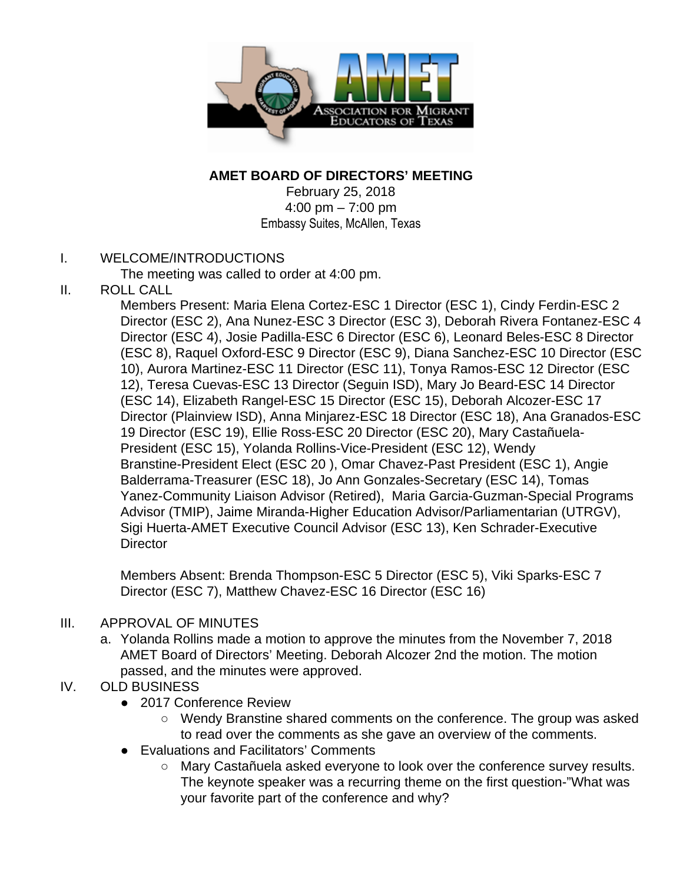

#### **AMET BOARD OF DIRECTORS' MEETING**

February 25, 2018 4:00 pm – 7:00 pm Embassy Suites, McAllen, Texas

#### I. WELCOME/INTRODUCTIONS

The meeting was called to order at 4:00 pm.

II. ROLL CALL

Members Present: Maria Elena Cortez-ESC 1 Director (ESC 1), Cindy Ferdin-ESC 2 Director (ESC 2), Ana Nunez-ESC 3 Director (ESC 3), Deborah Rivera Fontanez-ESC 4 Director (ESC 4), Josie Padilla-ESC 6 Director (ESC 6), Leonard Beles-ESC 8 Director (ESC 8), Raquel Oxford-ESC 9 Director (ESC 9), Diana Sanchez-ESC 10 Director (ESC 10), Aurora Martinez-ESC 11 Director (ESC 11), Tonya Ramos-ESC 12 Director (ESC 12), Teresa Cuevas-ESC 13 Director (Seguin ISD), Mary Jo Beard-ESC 14 Director (ESC 14), Elizabeth Rangel-ESC 15 Director (ESC 15), Deborah Alcozer-ESC 17 Director (Plainview ISD), Anna Minjarez-ESC 18 Director (ESC 18), Ana Granados-ESC 19 Director (ESC 19), Ellie Ross-ESC 20 Director (ESC 20), Mary Castañuela-President (ESC 15), Yolanda Rollins-Vice-President (ESC 12), Wendy Branstine-President Elect (ESC 20 ), Omar Chavez-Past President (ESC 1), Angie Balderrama-Treasurer (ESC 18), Jo Ann Gonzales-Secretary (ESC 14), Tomas Yanez-Community Liaison Advisor (Retired), Maria Garcia-Guzman-Special Programs Advisor (TMIP), Jaime Miranda-Higher Education Advisor/Parliamentarian (UTRGV), Sigi Huerta-AMET Executive Council Advisor (ESC 13), Ken Schrader-Executive **Director** 

Members Absent: Brenda Thompson-ESC 5 Director (ESC 5), Viki Sparks-ESC 7 Director (ESC 7), Matthew Chavez-ESC 16 Director (ESC 16)

- III. APPROVAL OF MINUTES
	- a. Yolanda Rollins made a motion to approve the minutes from the November 7, 2018 AMET Board of Directors' Meeting. Deborah Alcozer 2nd the motion. The motion passed, and the minutes were approved.
- IV. OLD BUSINESS
	- 2017 Conference Review
		- Wendy Branstine shared comments on the conference. The group was asked to read over the comments as she gave an overview of the comments.
	- Evaluations and Facilitators' Comments
		- Mary Castañuela asked everyone to look over the conference survey results. The keynote speaker was a recurring theme on the first question-"What was your favorite part of the conference and why?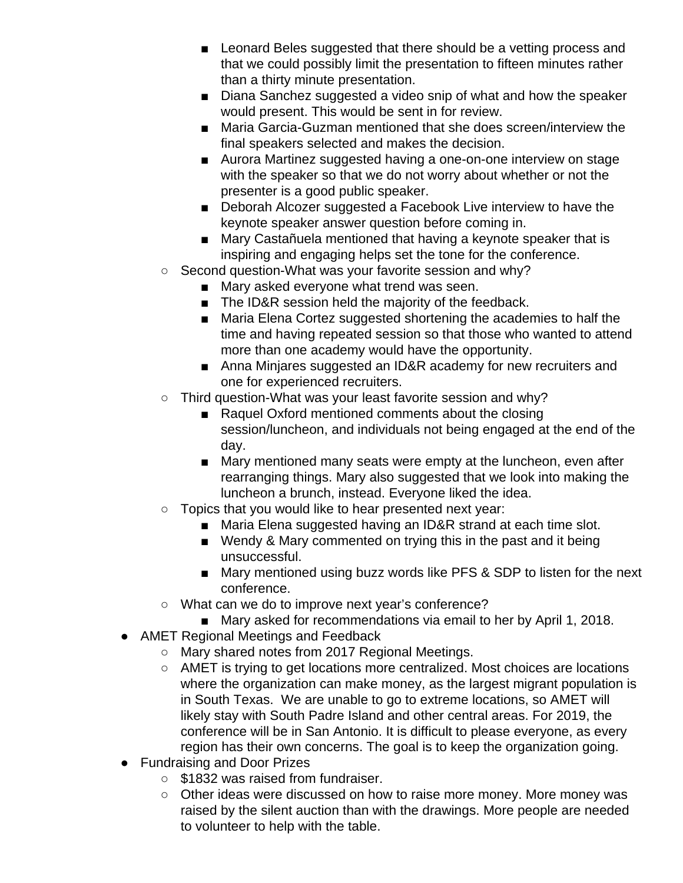- Leonard Beles suggested that there should be a vetting process and that we could possibly limit the presentation to fifteen minutes rather than a thirty minute presentation.
- Diana Sanchez suggested a video snip of what and how the speaker would present. This would be sent in for review.
- Maria Garcia-Guzman mentioned that she does screen/interview the final speakers selected and makes the decision.
- Aurora Martinez suggested having a one-on-one interview on stage with the speaker so that we do not worry about whether or not the presenter is a good public speaker.
- Deborah Alcozer suggested a Facebook Live interview to have the keynote speaker answer question before coming in.
- Mary Castañuela mentioned that having a keynote speaker that is inspiring and engaging helps set the tone for the conference.
- Second question-What was your favorite session and why?
	- Mary asked everyone what trend was seen.
	- The ID&R session held the majority of the feedback.
	- Maria Elena Cortez suggested shortening the academies to half the time and having repeated session so that those who wanted to attend more than one academy would have the opportunity.
	- Anna Minjares suggested an ID&R academy for new recruiters and one for experienced recruiters.
- Third question-What was your least favorite session and why?
	- Raquel Oxford mentioned comments about the closing session/luncheon, and individuals not being engaged at the end of the day.
	- Mary mentioned many seats were empty at the luncheon, even after rearranging things. Mary also suggested that we look into making the luncheon a brunch, instead. Everyone liked the idea.
- Topics that you would like to hear presented next year:
	- Maria Elena suggested having an ID&R strand at each time slot.
	- Wendy & Mary commented on trying this in the past and it being unsuccessful.
	- Mary mentioned using buzz words like PFS & SDP to listen for the next conference.
- What can we do to improve next year's conference?
	- Mary asked for recommendations via email to her by April 1, 2018.
- AMET Regional Meetings and Feedback
	- Mary shared notes from 2017 Regional Meetings.
	- AMET is trying to get locations more centralized. Most choices are locations where the organization can make money, as the largest migrant population is in South Texas. We are unable to go to extreme locations, so AMET will likely stay with South Padre Island and other central areas. For 2019, the conference will be in San Antonio. It is difficult to please everyone, as every region has their own concerns. The goal is to keep the organization going.
- Fundraising and Door Prizes
	- \$1832 was raised from fundraiser.
	- Other ideas were discussed on how to raise more money. More money was raised by the silent auction than with the drawings. More people are needed to volunteer to help with the table.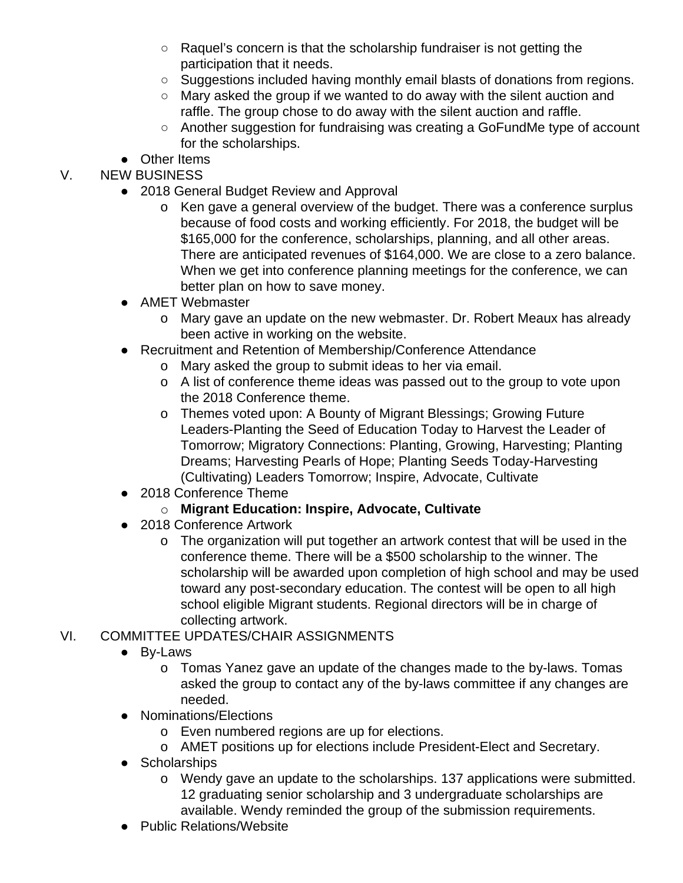- Raquel's concern is that the scholarship fundraiser is not getting the participation that it needs.
- Suggestions included having monthly email blasts of donations from regions.
- Mary asked the group if we wanted to do away with the silent auction and raffle. The group chose to do away with the silent auction and raffle.
- Another suggestion for fundraising was creating a GoFundMe type of account for the scholarships.
- Other Items

# V. NEW BUSINESS

- 2018 General Budget Review and Approval
	- o Ken gave a general overview of the budget. There was a conference surplus because of food costs and working efficiently. For 2018, the budget will be \$165,000 for the conference, scholarships, planning, and all other areas. There are anticipated revenues of \$164,000. We are close to a zero balance. When we get into conference planning meetings for the conference, we can better plan on how to save money.
- AMET Webmaster
	- o Mary gave an update on the new webmaster. Dr. Robert Meaux has already been active in working on the website.
- Recruitment and Retention of Membership/Conference Attendance
	- o Mary asked the group to submit ideas to her via email.
	- o A list of conference theme ideas was passed out to the group to vote upon the 2018 Conference theme.
	- o Themes voted upon: A Bounty of Migrant Blessings; Growing Future Leaders-Planting the Seed of Education Today to Harvest the Leader of Tomorrow; Migratory Connections: Planting, Growing, Harvesting; Planting Dreams; Harvesting Pearls of Hope; Planting Seeds Today-Harvesting (Cultivating) Leaders Tomorrow; Inspire, Advocate, Cultivate
- 2018 Conference Theme

## o **Migrant Education: Inspire, Advocate, Cultivate**

- 2018 Conference Artwork
	- o The organization will put together an artwork contest that will be used in the conference theme. There will be a \$500 scholarship to the winner. The scholarship will be awarded upon completion of high school and may be used toward any post-secondary education. The contest will be open to all high school eligible Migrant students. Regional directors will be in charge of collecting artwork.

## VI. COMMITTEE UPDATES/CHAIR ASSIGNMENTS

- By-Laws
	- o Tomas Yanez gave an update of the changes made to the by-laws. Tomas asked the group to contact any of the by-laws committee if any changes are needed.
- Nominations/Elections
	- o Even numbered regions are up for elections.
	- o AMET positions up for elections include President-Elect and Secretary.
- Scholarships
	- o Wendy gave an update to the scholarships. 137 applications were submitted. 12 graduating senior scholarship and 3 undergraduate scholarships are available. Wendy reminded the group of the submission requirements.
- **Public Relations/Website**